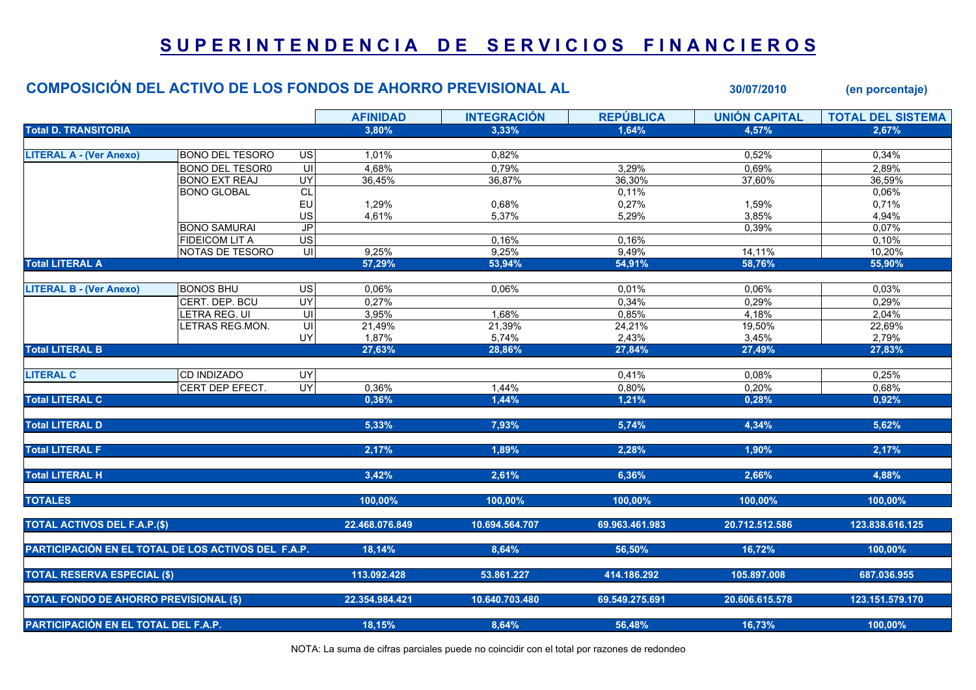## SUPERINTENDENCIA DE SERVICIOS FINANCIEROS

|                                               |                                                     | <b>COMPOSICIÓN DEL ACTIVO DE LOS FONDOS DE AHORRO PREVISIONAL AL</b> |                 |                    | 30/07/2010       | (en porcentaje)      |                          |
|-----------------------------------------------|-----------------------------------------------------|----------------------------------------------------------------------|-----------------|--------------------|------------------|----------------------|--------------------------|
|                                               |                                                     |                                                                      | <b>AFINIDAD</b> | <b>INTEGRACIÓN</b> | <b>REPÚBLICA</b> | <b>UNIÓN CAPITAL</b> | <b>TOTAL DEL SISTEMA</b> |
| <b>Total D. TRANSITORIA</b>                   |                                                     |                                                                      | 3,80%           | 3,33%              | 1.64%            | 4,57%                | 2.67%                    |
|                                               |                                                     |                                                                      |                 |                    |                  |                      |                          |
| <b>LITERAL A - (Ver Anexo)</b>                | <b>BONO DEL TESORO</b>                              | <b>US</b>                                                            | 1,01%           | 0,82%              |                  | 0,52%                | 0,34%                    |
|                                               | <b>BONO DEL TESOR0</b>                              | $\overline{\mathsf{U}}$                                              | 4,68%           | 0,79%              | 3,29%            | 0,69%                | 2,89%                    |
|                                               | <b>BONO EXT REAJ</b>                                | $\overline{UY}$                                                      | 36,45%          | 36,87%             | 36,30%           | 37,60%               | 36,59%                   |
|                                               | <b>BONO GLOBAL</b>                                  | $\overline{CL}$                                                      |                 |                    | 0,11%            |                      | 0,06%                    |
|                                               |                                                     | EU                                                                   | 1,29%           | 0,68%              | 0,27%            | 1,59%                | 0,71%                    |
|                                               |                                                     | US                                                                   | 4,61%           | 5,37%              | 5,29%            | 3,85%                | 4,94%                    |
|                                               | <b>BONO SAMURAI</b>                                 | J <sub>P</sub>                                                       |                 |                    |                  | 0,39%                | 0,07%                    |
|                                               | <b>FIDEICOM LIT A</b>                               | $\overline{\mathsf{US}}$                                             |                 | 0,16%              | 0,16%            |                      | 0,10%                    |
|                                               | NOTAS DE TESORO                                     | UI                                                                   | 9,25%           | 9,25%              | 9,49%            | 14,11%               | 10,20%                   |
| <b>Total LITERAL A</b>                        |                                                     |                                                                      | 57,29%          | 53,94%             | 54,91%           | 58,76%               | 55,90%                   |
| <b>LITERAL B - (Ver Anexo)</b>                | <b>BONOS BHU</b>                                    | $\overline{US}$                                                      | 0,06%           | 0,06%              | 0,01%            | 0,06%                | 0,03%                    |
|                                               | CERT. DEP. BCU                                      | UY                                                                   | 0,27%           |                    | 0,34%            | 0,29%                | 0,29%                    |
|                                               |                                                     | UI                                                                   |                 | 1,68%              |                  |                      |                          |
|                                               | LETRA REG. UI<br>LETRAS REG.MON.                    | $\overline{\mathsf{U}}$                                              | 3,95%           |                    | 0,85%            | 4,18%<br>19,50%      | 2,04%<br>22,69%          |
|                                               |                                                     |                                                                      | 21,49%          | 21,39%             | 24,21%           |                      |                          |
| <b>Total LITERAL B</b>                        |                                                     | UY                                                                   | 1,87%<br>27,63% | 5,74%<br>28,86%    | 2,43%<br>27,84%  | 3,45%<br>27,49%      | 2,79%<br>27,83%          |
|                                               |                                                     |                                                                      |                 |                    |                  |                      |                          |
| <b>LITERAL C</b>                              | <b>CD INDIZADO</b>                                  | $\overline{\mathsf{K}}$                                              |                 |                    | 0,41%            | 0,08%                | 0,25%                    |
|                                               | CERT DEP EFECT.                                     | $\overline{CY}$                                                      | 0,36%           | 1,44%              | 0,80%            | 0,20%                | 0,68%                    |
| <b>Total LITERAL C</b>                        |                                                     |                                                                      | 0,36%           | 1,44%              | 1,21%            | 0,28%                | 0,92%                    |
|                                               |                                                     |                                                                      |                 |                    |                  |                      |                          |
| <b>Total LITERAL D</b>                        |                                                     |                                                                      | 5,33%           | 7,93%              | 5,74%            | 4,34%                | 5,62%                    |
| <b>Total LITERAL F</b>                        |                                                     |                                                                      | 2,17%           | 1,89%              | 2,28%            | 1,90%                | 2,17%                    |
|                                               |                                                     |                                                                      |                 |                    |                  |                      |                          |
| <b>Total LITERAL H</b>                        |                                                     |                                                                      | 3,42%           | 2,61%              | 6,36%            | 2,66%                | 4,88%                    |
| <b>TOTALES</b>                                |                                                     |                                                                      | 100,00%         | 100,00%            | 100,00%          | 100,00%              | 100,00%                  |
| <b>TOTAL ACTIVOS DEL F.A.P.(\$)</b>           |                                                     |                                                                      | 22.468.076.849  | 10.694.564.707     | 69.963.461.983   | 20.712.512.586       | 123.838.616.125          |
|                                               | PARTICIPACIÓN EN EL TOTAL DE LOS ACTIVOS DEL F.A.P. |                                                                      | 18,14%          | 8,64%              | 56,50%           | 16,72%               | 100,00%                  |
| <b>TOTAL RESERVA ESPECIAL (\$)</b>            |                                                     |                                                                      | 113.092.428     | 53.861.227         | 414.186.292      | 105.897.008          | 687.036.955              |
|                                               |                                                     |                                                                      |                 |                    |                  |                      |                          |
| <b>TOTAL FONDO DE AHORRO PREVISIONAL (\$)</b> |                                                     |                                                                      | 22.354.984.421  | 10.640.703.480     | 69.549.275.691   | 20.606.615.578       | 123.151.579.170          |
| PARTICIPACIÓN EN EL TOTAL DEL F.A.P.          |                                                     | 18,15%                                                               | 8,64%           | 56,48%             | 16,73%           | 100,00%              |                          |

NOTA: La suma de cifras parciales puede no coincidir con el total por razones de redondeo